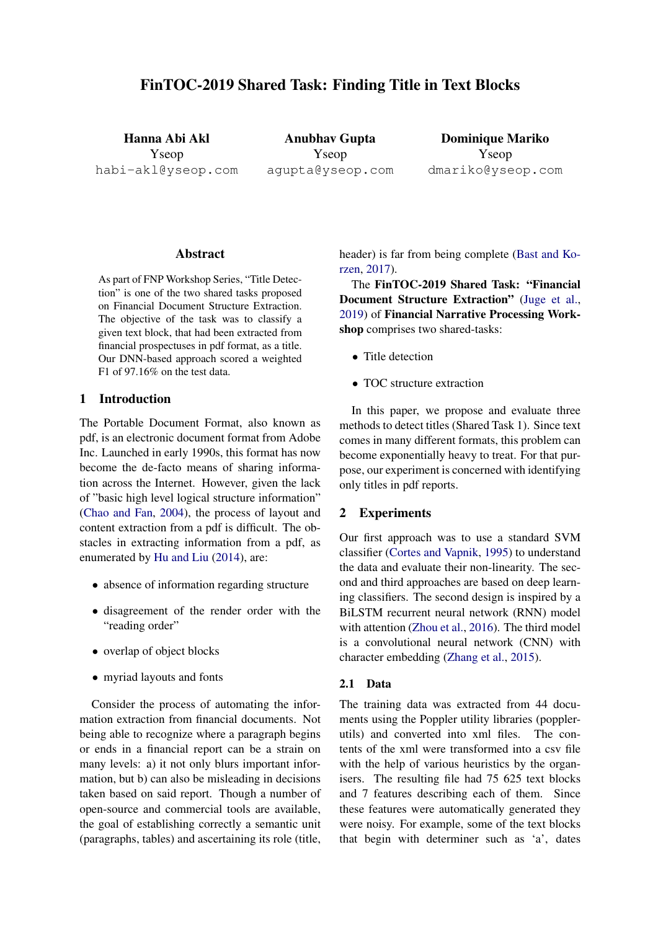# FinTOC-2019 Shared Task: Finding Title in Text Blocks

Hanna Abi Akl Yseop habi-akl@yseop.com

Anubhav Gupta Yseop agupta@yseop.com

Dominique Mariko Yseop dmariko@yseop.com

## Abstract

As part of FNP Workshop Series, "Title Detection" is one of the two shared tasks proposed on Financial Document Structure Extraction. The objective of the task was to classify a given text block, that had been extracted from financial prospectuses in pdf format, as a title. Our DNN-based approach scored a weighted F1 of 97.16% on the test data.

#### 1 Introduction

The Portable Document Format, also known as pdf, is an electronic document format from Adobe Inc. Launched in early 1990s, this format has now become the de-facto means of sharing information across the Internet. However, given the lack of "basic high level logical structure information" [\(Chao and Fan,](#page-3-0) [2004\)](#page-3-0), the process of layout and content extraction from a pdf is difficult. The obstacles in extracting information from a pdf, as enumerated by [Hu and Liu](#page-4-0) [\(2014\)](#page-4-0), are:

- absence of information regarding structure
- disagreement of the render order with the "reading order"
- overlap of object blocks
- myriad layouts and fonts

Consider the process of automating the information extraction from financial documents. Not being able to recognize where a paragraph begins or ends in a financial report can be a strain on many levels: a) it not only blurs important information, but b) can also be misleading in decisions taken based on said report. Though a number of open-source and commercial tools are available, the goal of establishing correctly a semantic unit (paragraphs, tables) and ascertaining its role (title, header) is far from being complete [\(Bast and Ko](#page-3-1)[rzen,](#page-3-1) [2017\)](#page-3-1).

The FinTOC-2019 Shared Task: "Financial Document Structure Extraction" [\(Juge et al.,](#page-4-1) [2019\)](#page-4-1) of Financial Narrative Processing Workshop comprises two shared-tasks:

- Title detection
- TOC structure extraction

In this paper, we propose and evaluate three methods to detect titles (Shared Task 1). Since text comes in many different formats, this problem can become exponentially heavy to treat. For that purpose, our experiment is concerned with identifying only titles in pdf reports.

# 2 Experiments

Our first approach was to use a standard SVM classifier [\(Cortes and Vapnik,](#page-4-2) [1995\)](#page-4-2) to understand the data and evaluate their non-linearity. The second and third approaches are based on deep learning classifiers. The second design is inspired by a BiLSTM recurrent neural network (RNN) model with attention [\(Zhou et al.,](#page-4-3) [2016\)](#page-4-3). The third model is a convolutional neural network (CNN) with character embedding [\(Zhang et al.,](#page-4-4) [2015\)](#page-4-4).

## 2.1 Data

The training data was extracted from 44 documents using the Poppler utility libraries (popplerutils) and converted into xml files. The contents of the xml were transformed into a csv file with the help of various heuristics by the organisers. The resulting file had 75 625 text blocks and 7 features describing each of them. Since these features were automatically generated they were noisy. For example, some of the text blocks that begin with determiner such as 'a', dates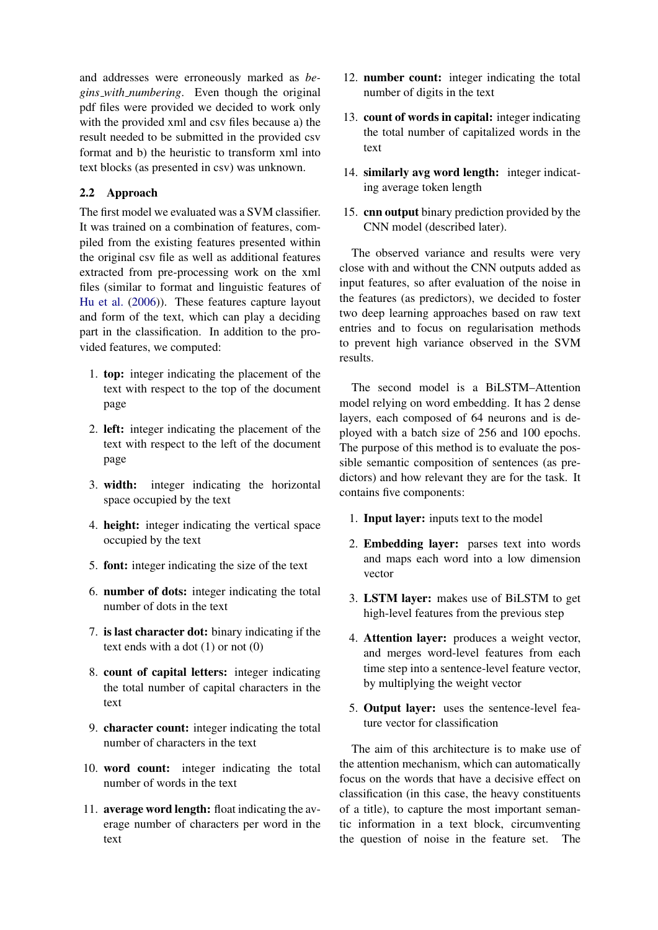and addresses were erroneously marked as *begins with numbering*. Even though the original pdf files were provided we decided to work only with the provided xml and csv files because a) the result needed to be submitted in the provided csv format and b) the heuristic to transform xml into text blocks (as presented in csv) was unknown.

# 2.2 Approach

The first model we evaluated was a SVM classifier. It was trained on a combination of features, compiled from the existing features presented within the original csv file as well as additional features extracted from pre-processing work on the xml files (similar to format and linguistic features of [Hu et al.](#page-4-5) [\(2006\)](#page-4-5)). These features capture layout and form of the text, which can play a deciding part in the classification. In addition to the provided features, we computed:

- 1. top: integer indicating the placement of the text with respect to the top of the document page
- 2. left: integer indicating the placement of the text with respect to the left of the document page
- 3. width: integer indicating the horizontal space occupied by the text
- 4. height: integer indicating the vertical space occupied by the text
- 5. font: integer indicating the size of the text
- 6. number of dots: integer indicating the total number of dots in the text
- 7. is last character dot: binary indicating if the text ends with a dot (1) or not (0)
- 8. count of capital letters: integer indicating the total number of capital characters in the text
- 9. character count: integer indicating the total number of characters in the text
- 10. word count: integer indicating the total number of words in the text
- 11. average word length: float indicating the average number of characters per word in the text
- 12. number count: integer indicating the total number of digits in the text
- 13. count of words in capital: integer indicating the total number of capitalized words in the text
- 14. similarly avg word length: integer indicating average token length
- 15. cnn output binary prediction provided by the CNN model (described later).

The observed variance and results were very close with and without the CNN outputs added as input features, so after evaluation of the noise in the features (as predictors), we decided to foster two deep learning approaches based on raw text entries and to focus on regularisation methods to prevent high variance observed in the SVM results.

The second model is a BiLSTM–Attention model relying on word embedding. It has 2 dense layers, each composed of 64 neurons and is deployed with a batch size of 256 and 100 epochs. The purpose of this method is to evaluate the possible semantic composition of sentences (as predictors) and how relevant they are for the task. It contains five components:

- 1. Input layer: inputs text to the model
- 2. Embedding layer: parses text into words and maps each word into a low dimension vector
- 3. LSTM layer: makes use of BiLSTM to get high-level features from the previous step
- 4. Attention layer: produces a weight vector, and merges word-level features from each time step into a sentence-level feature vector, by multiplying the weight vector
- 5. Output layer: uses the sentence-level feature vector for classification

The aim of this architecture is to make use of the attention mechanism, which can automatically focus on the words that have a decisive effect on classification (in this case, the heavy constituents of a title), to capture the most important semantic information in a text block, circumventing the question of noise in the feature set. The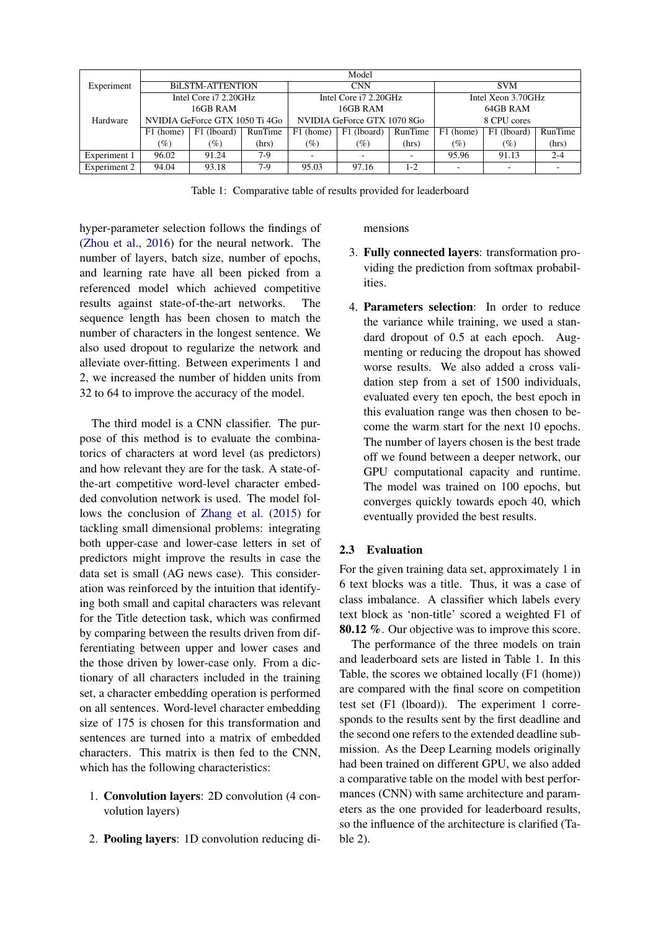|              | Model                          |                                                |         |                             |             |          |                    |                          |         |  |
|--------------|--------------------------------|------------------------------------------------|---------|-----------------------------|-------------|----------|--------------------|--------------------------|---------|--|
| Experiment   | <b>BILSTM-ATTENTION</b>        |                                                |         | <b>CNN</b>                  |             |          | <b>SVM</b>         |                          |         |  |
|              |                                | Intel Core i7 2.20GHz<br>Intel Core i7 2.20GHz |         |                             |             |          | Intel Xeon 3.70GHz |                          |         |  |
|              |                                | 16GB RAM<br>16GB RAM                           |         |                             |             | 64GB RAM |                    |                          |         |  |
| Hardware     | NVIDIA GeForce GTX 1050 Ti 4Go |                                                |         | NVIDIA GeForce GTX 1070 8Go |             |          | 8 CPU cores        |                          |         |  |
|              | F1 (home)                      | F1 (lboard)                                    | RunTime | F1 (home)                   | F1 (lboard) | RunTime  | F1 (home)          | F1 (lboard)              | RunTime |  |
|              | $(\%)$                         | $(\%)$                                         | (hrs)   | $(\%)$                      | $(\%)$      | (hrs)    | $(\%)$             | $(\%)$                   | (hrs)   |  |
| Experiment 1 | 96.02                          | 91.24                                          | $7-9$   |                             | ٠           |          | 95.96              | 91.13                    | $2 - 4$ |  |
| Experiment 2 | 94.04                          | 93.18                                          | $7-9$   | 95.03                       | 97.16       | $1-2$    |                    | $\overline{\phantom{a}}$ |         |  |

Table 1: Comparative table of results provided for leaderboard

hyper-parameter selection follows the findings of [\(Zhou et al.,](#page-4-3) [2016\)](#page-4-3) for the neural network. The number of layers, batch size, number of epochs, and learning rate have all been picked from a referenced model which achieved competitive results against state-of-the-art networks. The sequence length has been chosen to match the number of characters in the longest sentence. We also used dropout to regularize the network and alleviate over-fitting. Between experiments 1 and 2, we increased the number of hidden units from 32 to 64 to improve the accuracy of the model.

The third model is a CNN classifier. The purpose of this method is to evaluate the combinatorics of characters at word level (as predictors) and how relevant they are for the task. A state-ofthe-art competitive word-level character embedded convolution network is used. The model follows the conclusion of [Zhang et al.](#page-4-4) [\(2015\)](#page-4-4) for tackling small dimensional problems: integrating both upper-case and lower-case letters in set of predictors might improve the results in case the data set is small (AG news case). This consideration was reinforced by the intuition that identifying both small and capital characters was relevant for the Title detection task, which was confirmed by comparing between the results driven from differentiating between upper and lower cases and the those driven by lower-case only. From a dictionary of all characters included in the training set, a character embedding operation is performed on all sentences. Word-level character embedding size of 175 is chosen for this transformation and sentences are turned into a matrix of embedded characters. This matrix is then fed to the CNN, which has the following characteristics:

- 1. Convolution layers: 2D convolution (4 convolution layers)
- 2. Pooling layers: 1D convolution reducing di-

#### mensions

- 3. Fully connected layers: transformation providing the prediction from softmax probabilities.
- 4. Parameters selection: In order to reduce the variance while training, we used a standard dropout of 0.5 at each epoch. Augmenting or reducing the dropout has showed worse results. We also added a cross validation step from a set of 1500 individuals, evaluated every ten epoch, the best epoch in this evaluation range was then chosen to become the warm start for the next 10 epochs. The number of layers chosen is the best trade off we found between a deeper network, our GPU computational capacity and runtime. The model was trained on 100 epochs, but converges quickly towards epoch 40, which eventually provided the best results.

# 2.3 Evaluation

For the given training data set, approximately 1 in 6 text blocks was a title. Thus, it was a case of class imbalance. A classifier which labels every text block as 'non-title' scored a weighted F1 of 80.12 %. Our objective was to improve this score.

The performance of the three models on train and leaderboard sets are listed in Table 1. In this Table, the scores we obtained locally (F1 (home)) are compared with the final score on competition test set (F1 (lboard)). The experiment 1 corresponds to the results sent by the first deadline and the second one refers to the extended deadline submission. As the Deep Learning models originally had been trained on different GPU, we also added a comparative table on the model with best performances (CNN) with same architecture and parameters as the one provided for leaderboard results, so the influence of the architecture is clarified (Table 2).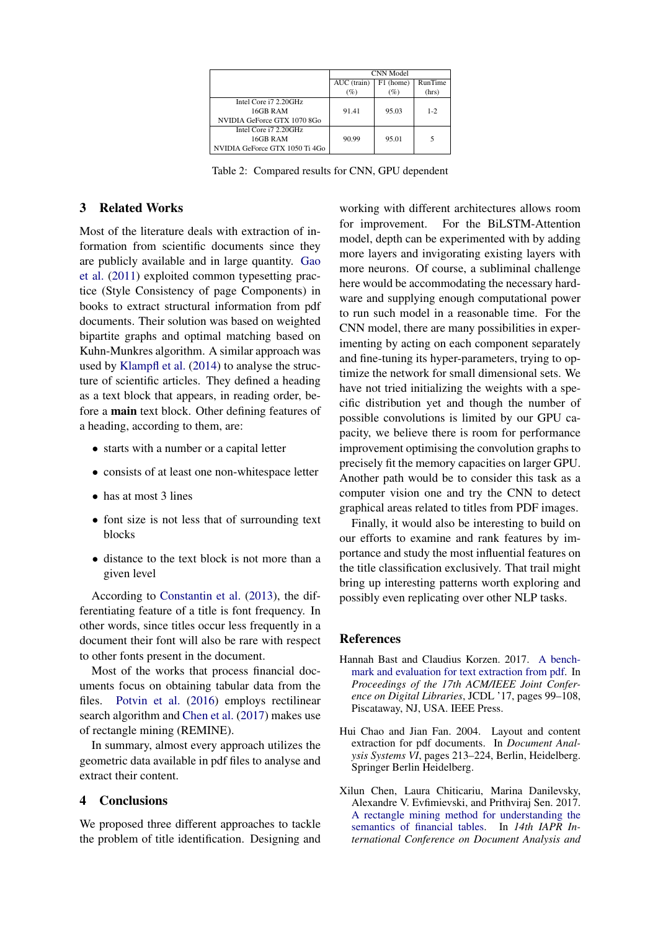|                                | CNN Model   |           |         |  |  |
|--------------------------------|-------------|-----------|---------|--|--|
|                                | AUC (train) | F1 (home) | RunTime |  |  |
|                                | $(\%)$      | (%)       | (hrs)   |  |  |
| Intel Core i7 2.20GHz          |             |           |         |  |  |
| 16GB RAM                       | 91.41       | 95.03     | $1 - 2$ |  |  |
| NVIDIA GeForce GTX 1070 8Go    |             |           |         |  |  |
| Intel Core i7 2.20GHz          |             |           |         |  |  |
| 16GB RAM                       | 90.99       | 95.01     |         |  |  |
| NVIDIA GeForce GTX 1050 Ti 4Go |             |           |         |  |  |

Table 2: Compared results for CNN, GPU dependent

# 3 Related Works

Most of the literature deals with extraction of information from scientific documents since they are publicly available and in large quantity. [Gao](#page-4-6) [et al.](#page-4-6) [\(2011\)](#page-4-6) exploited common typesetting practice (Style Consistency of page Components) in books to extract structural information from pdf documents. Their solution was based on weighted bipartite graphs and optimal matching based on Kuhn-Munkres algorithm. A similar approach was used by [Klampfl et al.](#page-4-7) [\(2014\)](#page-4-7) to analyse the structure of scientific articles. They defined a heading as a text block that appears, in reading order, before a main text block. Other defining features of a heading, according to them, are:

- starts with a number or a capital letter
- consists of at least one non-whitespace letter
- has at most 3 lines
- font size is not less that of surrounding text blocks
- distance to the text block is not more than a given level

According to [Constantin et al.](#page-4-8) [\(2013\)](#page-4-8), the differentiating feature of a title is font frequency. In other words, since titles occur less frequently in a document their font will also be rare with respect to other fonts present in the document.

Most of the works that process financial documents focus on obtaining tabular data from the files. [Potvin et al.](#page-4-9) [\(2016\)](#page-4-9) employs rectilinear search algorithm and [Chen et al.](#page-3-2) [\(2017\)](#page-3-2) makes use of rectangle mining (REMINE).

In summary, almost every approach utilizes the geometric data available in pdf files to analyse and extract their content.

## 4 Conclusions

We proposed three different approaches to tackle the problem of title identification. Designing and

working with different architectures allows room for improvement. For the BiLSTM-Attention model, depth can be experimented with by adding more layers and invigorating existing layers with more neurons. Of course, a subliminal challenge here would be accommodating the necessary hardware and supplying enough computational power to run such model in a reasonable time. For the CNN model, there are many possibilities in experimenting by acting on each component separately and fine-tuning its hyper-parameters, trying to optimize the network for small dimensional sets. We have not tried initializing the weights with a specific distribution yet and though the number of possible convolutions is limited by our GPU capacity, we believe there is room for performance improvement optimising the convolution graphs to precisely fit the memory capacities on larger GPU. Another path would be to consider this task as a computer vision one and try the CNN to detect graphical areas related to titles from PDF images.

Finally, it would also be interesting to build on our efforts to examine and rank features by importance and study the most influential features on the title classification exclusively. That trail might bring up interesting patterns worth exploring and possibly even replicating over other NLP tasks.

## **References**

- <span id="page-3-1"></span>Hannah Bast and Claudius Korzen. 2017. [A bench](http://dl.acm.org/citation.cfm?id=3200334.3200346)[mark and evaluation for text extraction from pdf.](http://dl.acm.org/citation.cfm?id=3200334.3200346) In *Proceedings of the 17th ACM/IEEE Joint Conference on Digital Libraries*, JCDL '17, pages 99–108, Piscataway, NJ, USA. IEEE Press.
- <span id="page-3-0"></span>Hui Chao and Jian Fan. 2004. Layout and content extraction for pdf documents. In *Document Analysis Systems VI*, pages 213–224, Berlin, Heidelberg. Springer Berlin Heidelberg.
- <span id="page-3-2"></span>Xilun Chen, Laura Chiticariu, Marina Danilevsky, Alexandre V. Evfimievski, and Prithviraj Sen. 2017. [A rectangle mining method for understanding the](https://doi.org/10.1109/ICDAR.2017.52) [semantics of financial tables.](https://doi.org/10.1109/ICDAR.2017.52) In *14th IAPR International Conference on Document Analysis and*